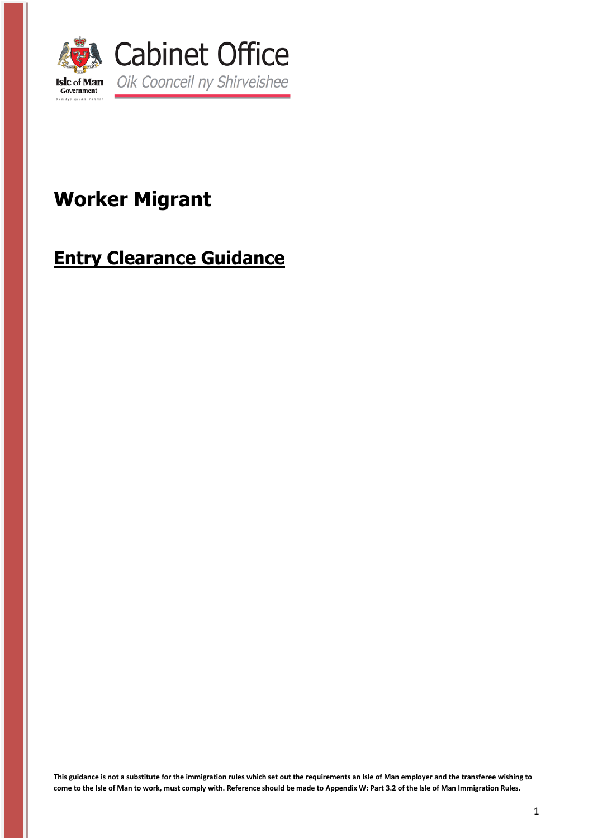

# **Worker Migrant**

# **Entry Clearance Guidance**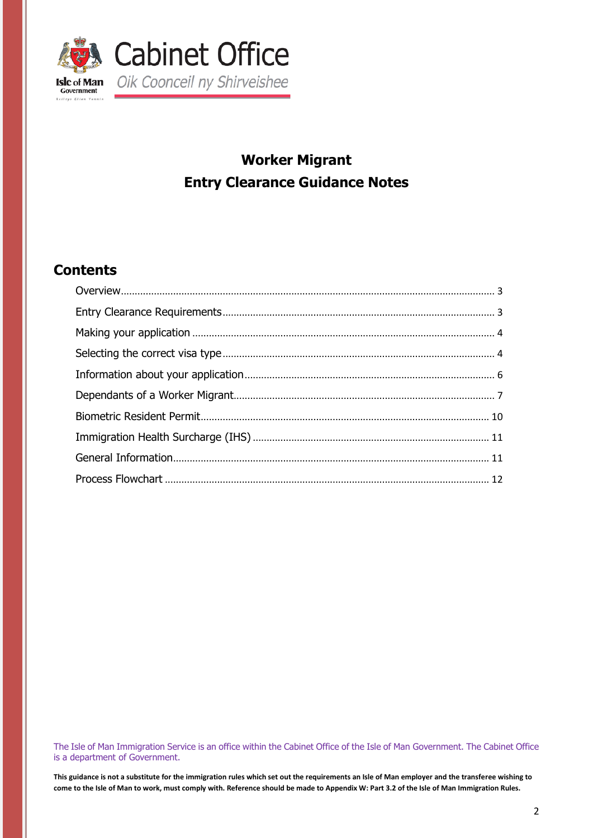

## **Worker Migrant Entry Clearance Guidance Notes**

### **Contents**

The Isle of Man Immigration Service is an office within the Cabinet Office of the Isle of Man Government. The Cabinet Office is a department of Government.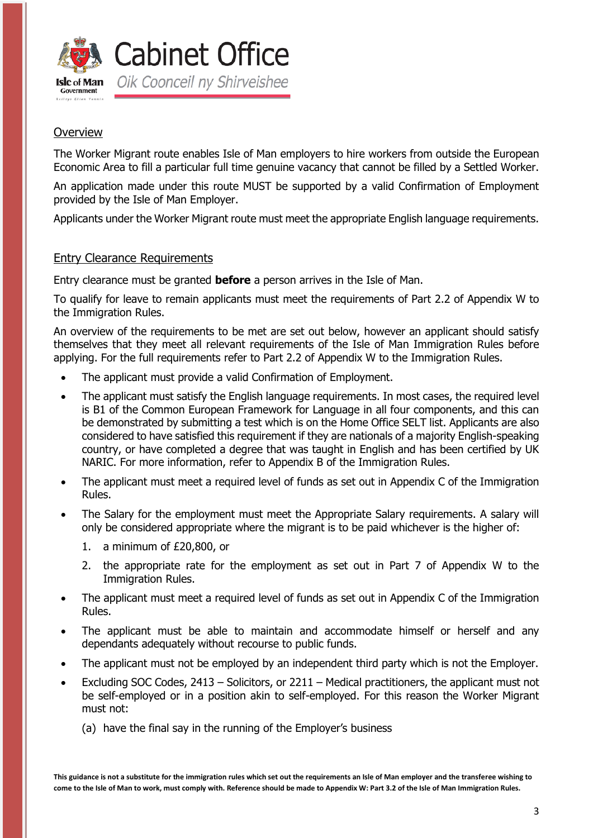

### <span id="page-2-0"></span>**Overview**

The Worker Migrant route enables Isle of Man employers to hire workers from outside the European Economic Area to fill a particular full time genuine vacancy that cannot be filled by a Settled Worker.

An application made under this route MUST be supported by a valid Confirmation of Employment provided by the Isle of Man Employer.

Applicants under the Worker Migrant route must meet the appropriate English language requirements.

#### <span id="page-2-1"></span>Entry Clearance Requirements

Entry clearance must be granted **before** a person arrives in the Isle of Man.

To qualify for leave to remain applicants must meet the requirements of Part 2.2 of Appendix W to the Immigration Rules.

An overview of the requirements to be met are set out below, however an applicant should satisfy themselves that they meet all relevant requirements of the Isle of Man Immigration Rules before applying. For the full requirements refer to Part 2.2 of Appendix W to the Immigration Rules.

- The applicant must provide a valid Confirmation of Employment.
- The applicant must satisfy the English language requirements. In most cases, the required level is B1 of the Common European Framework for Language in all four components, and this can be demonstrated by submitting a test which is on the Home Office SELT list. Applicants are also considered to have satisfied this requirement if they are nationals of a majority English-speaking country, or have completed a degree that was taught in English and has been certified by UK NARIC. For more information, refer to Appendix B of the Immigration Rules.
- The applicant must meet a required level of funds as set out in Appendix C of the Immigration Rules.
- The Salary for the employment must meet the Appropriate Salary requirements. A salary will only be considered appropriate where the migrant is to be paid whichever is the higher of:
	- 1. a minimum of £20,800, or
	- 2. the appropriate rate for the employment as set out in Part 7 of Appendix W to the Immigration Rules.
- The applicant must meet a required level of funds as set out in Appendix C of the Immigration Rules.
- The applicant must be able to maintain and accommodate himself or herself and any dependants adequately without recourse to public funds.
- The applicant must not be employed by an independent third party which is not the Employer.
- Excluding SOC Codes, 2413 Solicitors, or 2211 Medical practitioners, the applicant must not be self-employed or in a position akin to self-employed. For this reason the Worker Migrant must not:
	- (a) have the final say in the running of the Employer's business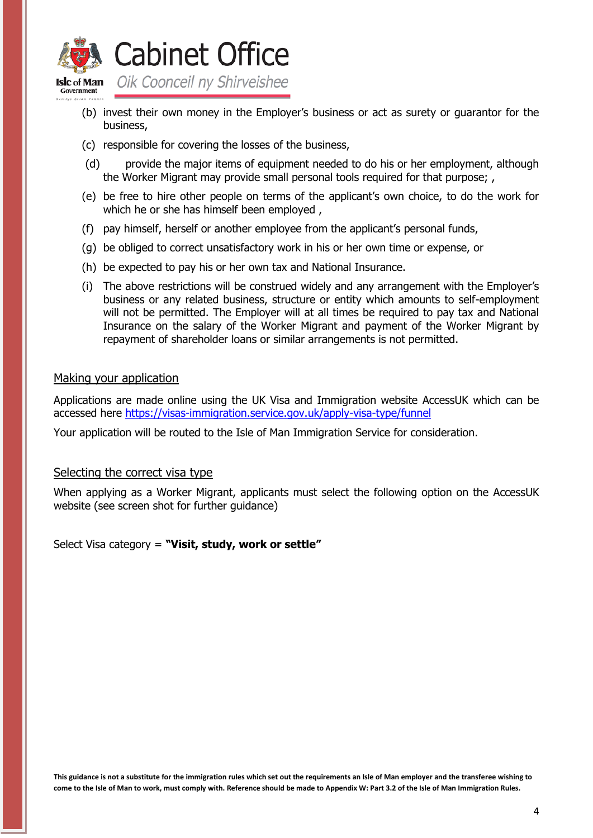

**Cabinet Office** 

- (b) invest their own money in the Employer's business or act as surety or guarantor for the business,
- (c) responsible for covering the losses of the business,
- (d) provide the major items of equipment needed to do his or her employment, although the Worker Migrant may provide small personal tools required for that purpose; ,
- (e) be free to hire other people on terms of the applicant's own choice, to do the work for which he or she has himself been employed,
- (f) pay himself, herself or another employee from the applicant's personal funds,
- (g) be obliged to correct unsatisfactory work in his or her own time or expense, or
- (h) be expected to pay his or her own tax and National Insurance.
- (i) The above restrictions will be construed widely and any arrangement with the Employer's business or any related business, structure or entity which amounts to self-employment will not be permitted. The Employer will at all times be required to pay tax and National Insurance on the salary of the Worker Migrant and payment of the Worker Migrant by repayment of shareholder loans or similar arrangements is not permitted.

#### <span id="page-3-0"></span>Making your application

Applications are made online using the UK Visa and Immigration website AccessUK which can be accessed here<https://visas-immigration.service.gov.uk/apply-visa-type/funnel>

<span id="page-3-1"></span>Your application will be routed to the Isle of Man Immigration Service for consideration.

#### Selecting the correct visa type

When applying as a Worker Migrant, applicants must select the following option on the AccessUK website (see screen shot for further guidance)

Select Visa category = **"Visit, study, work or settle"**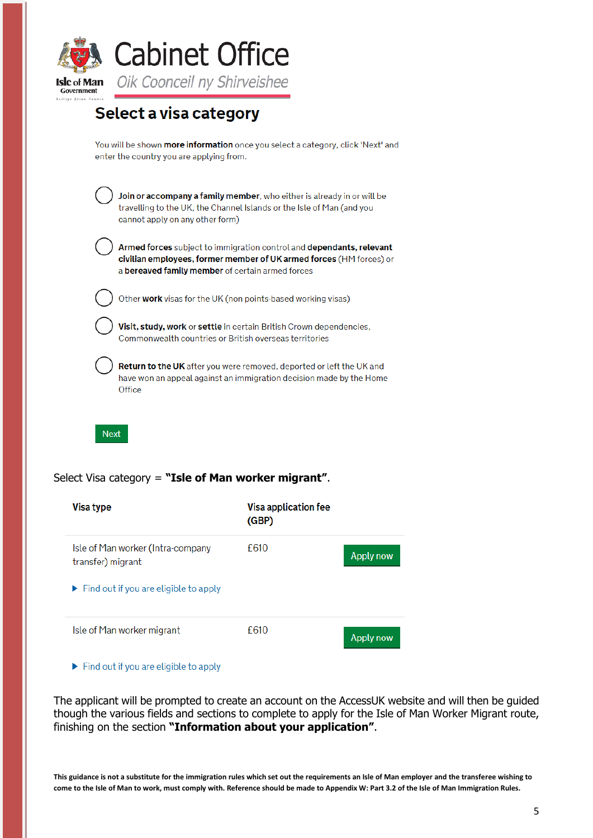

## Select a visa category

You will be shown more information once you select a category, click 'Next' and enter the country you are applying from.

Join or accompany a family member, who either is already in or will be travelling to the UK, the Channel Islands or the Isle of Man (and you cannot apply on any other form)

Armed forces subject to immigration control and dependants, relevant civilian employees, former member of UK armed forces (HM forces) or a bereaved family member of certain armed forces



Other work visas for the UK (non points-based working visas)

Visit, study, work or settle in certain British Crown dependencies, Commonwealth countries or British overseas territories

Return to the UK after you were removed, deported or left the UK and have won an appeal against an immigration decision made by the Home Office



#### Select Visa category = **"Isle of Man worker migrant"**.

| Visa type                                                   | Visa application fee<br>(GBP) |                  |
|-------------------------------------------------------------|-------------------------------|------------------|
| Isle of Man worker (Intra-company<br>transfer) migrant      | £610                          | <b>Apply now</b> |
| $\blacktriangleright$ Find out if you are eligible to apply |                               |                  |
| Isle of Man worker migrant                                  | £610                          | <b>Apply now</b> |

 $\blacktriangleright$  Find out if you are eligible to apply

The applicant will be prompted to create an account on the AccessUK website and will then be guided though the various fields and sections to complete to apply for the Isle of Man Worker Migrant route, finishing on the section **"Information about your application"**.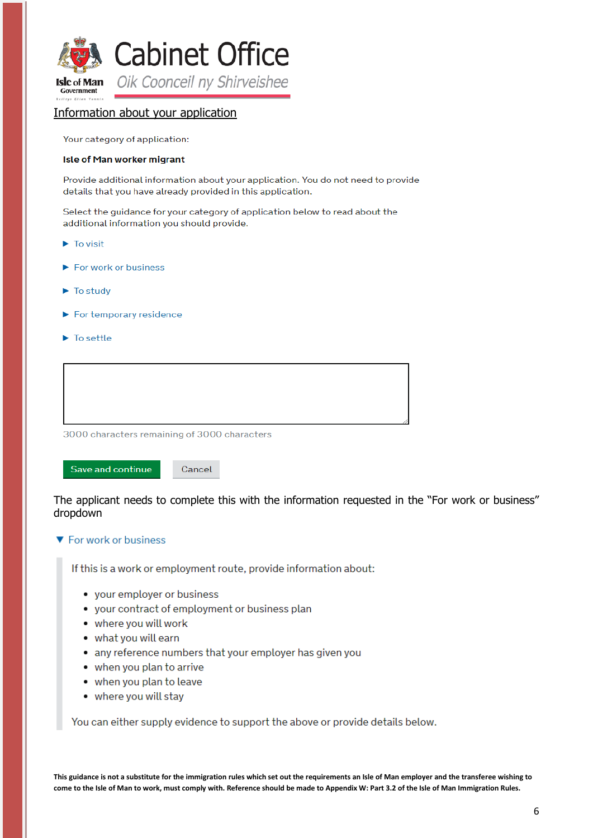

#### <span id="page-5-0"></span>Information about your application

Your category of application:

#### **Isle of Man worker migrant**

Provide additional information about your application. You do not need to provide details that you have already provided in this application.

Select the guidance for your category of application below to read about the additional information you should provide.

- $\blacktriangleright$  To visit
- $\blacktriangleright$  For work or business
- $\blacktriangleright$  To study
- $\blacktriangleright$  For temporary residence
- $\blacktriangleright$  To settle

| 3000 characters remaining of 3000 characters |  |
|----------------------------------------------|--|

Save and continue

The applicant needs to complete this with the information requested in the "For work or business" dropdown

#### ▼ For work or business

If this is a work or employment route, provide information about:

- your employer or business
- your contract of employment or business plan

Cancel

- where you will work
- what you will earn
- any reference numbers that your employer has given you
- when you plan to arrive
- when you plan to leave
- · where you will stay

You can either supply evidence to support the above or provide details below.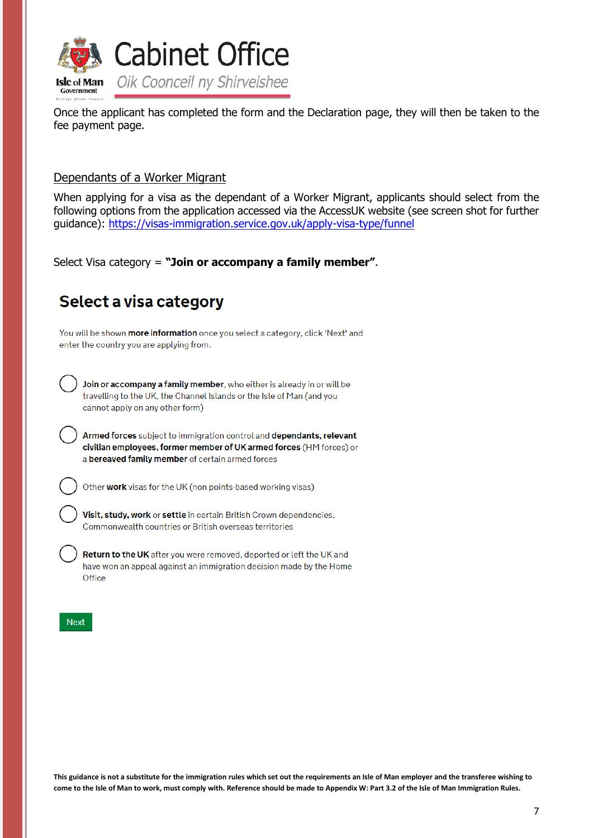

Once the applicant has completed the form and the Declaration page, they will then be taken to the fee payment page.

### <span id="page-6-0"></span>Dependants of a Worker Migrant

When applying for a visa as the dependant of a Worker Migrant, applicants should select from the following options from the application accessed via the AccessUK website (see screen shot for further guidance):<https://visas-immigration.service.gov.uk/apply-visa-type/funnel>

Select Visa category = **"Join or accompany a family member"**.

## Select a visa category

You will be shown more information once you select a category, click 'Next' and enter the country you are applying from.

Join or accompany a family member, who either is already in or will be travelling to the UK, the Channel Islands or the Isle of Man (and you cannot apply on any other form)

Armed forces subject to immigration control and dependants, relevant civilian employees, former member of UK armed forces (HM forces) or a bereaved family member of certain armed forces

Other work visas for the UK (non points-based working visas)

Visit, study, work or settle in certain British Crown dependencies, Commonwealth countries or British overseas territories

Return to the UK after you were removed, deported or left the UK and have won an appeal against an immigration decision made by the Home Office

#### **Next**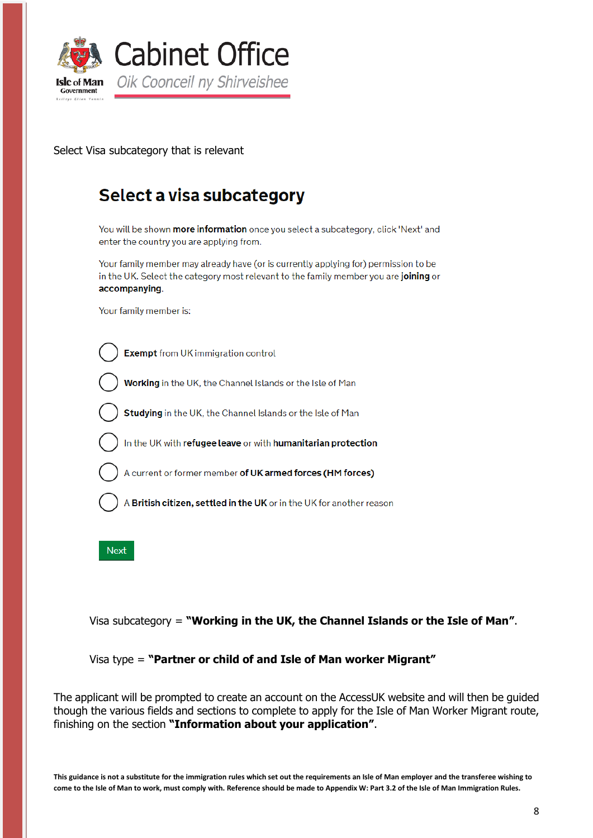

Select Visa subcategory that is relevant

## Select a visa subcategory

You will be shown more information once you select a subcategory, click 'Next' and enter the country you are applying from.

Your family member may already have (or is currently applying for) permission to be in the UK. Select the category most relevant to the family member you are joining or accompanying.

Your family member is:



Working in the UK, the Channel Islands or the Isle of Man

Studying in the UK, the Channel Islands or the Isle of Man

In the UK with refugee leave or with humanitarian protection

A current or former member of UK armed forces (HM forces)

A British citizen, settled in the UK or in the UK for another reason

**Next** 

Visa subcategory = **"Working in the UK, the Channel Islands or the Isle of Man"**.

Visa type = **"Partner or child of and Isle of Man worker Migrant"**

The applicant will be prompted to create an account on the AccessUK website and will then be guided though the various fields and sections to complete to apply for the Isle of Man Worker Migrant route, finishing on the section **"Information about your application"**.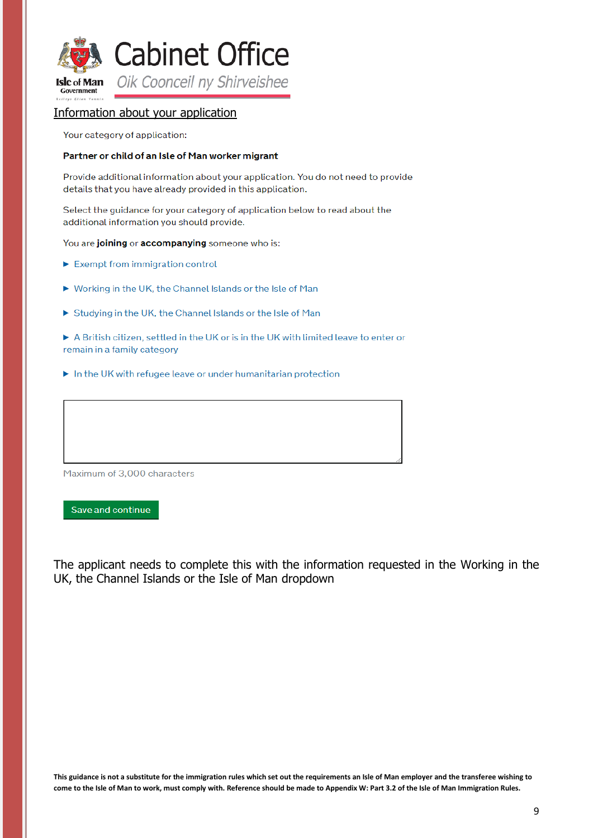

#### Information about your application

Your category of application:

#### Partner or child of an Isle of Man worker migrant

Provide additional information about your application. You do not need to provide details that you have already provided in this application.

Select the guidance for your category of application below to read about the additional information you should provide.

You are joining or accompanying someone who is:

- $\blacktriangleright$  Exempt from immigration control
- ▶ Working in the UK, the Channel Islands or the Isle of Man
- Studying in the UK, the Channel Islands or the Isle of Man
- A British citizen, settled in the UK or is in the UK with limited leave to enter or remain in a family category
- In the UK with refugee leave or under humanitarian protection

Maximum of 3,000 characters

Save and continue

The applicant needs to complete this with the information requested in the Working in the UK, the Channel Islands or the Isle of Man dropdown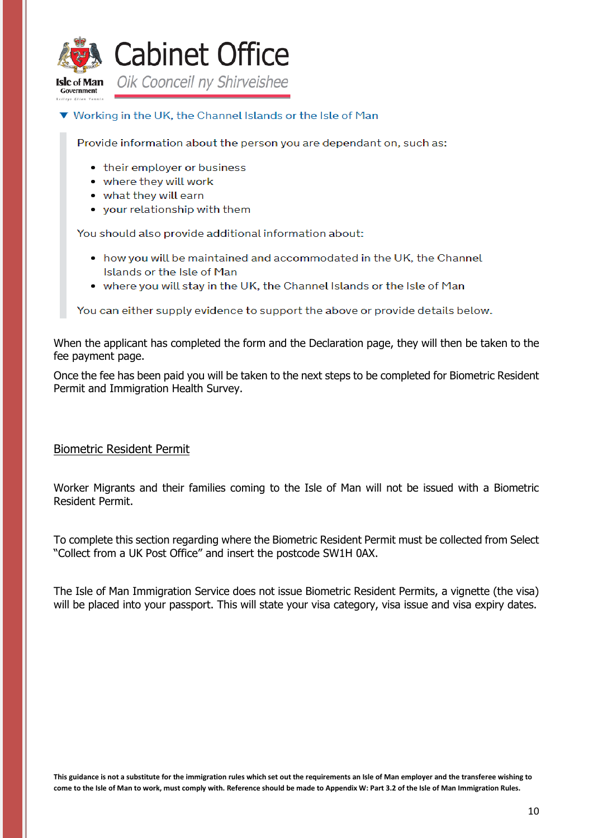

#### ▼ Working in the UK, the Channel Islands or the Isle of Man

Provide information about the person you are dependant on, such as:

- their employer or business
- where they will work
- what they will earn
- your relationship with them

You should also provide additional information about:

- how you will be maintained and accommodated in the UK, the Channel Islands or the Isle of Man
- where you will stay in the UK, the Channel Islands or the Isle of Man

You can either supply evidence to support the above or provide details below.

When the applicant has completed the form and the Declaration page, they will then be taken to the fee payment page.

Once the fee has been paid you will be taken to the next steps to be completed for Biometric Resident Permit and Immigration Health Survey.

#### <span id="page-9-0"></span>Biometric Resident Permit

Worker Migrants and their families coming to the Isle of Man will not be issued with a Biometric Resident Permit.

To complete this section regarding where the Biometric Resident Permit must be collected from Select "Collect from a UK Post Office" and insert the postcode SW1H 0AX.

The Isle of Man Immigration Service does not issue Biometric Resident Permits, a vignette (the visa) will be placed into your passport. This will state your visa category, visa issue and visa expiry dates.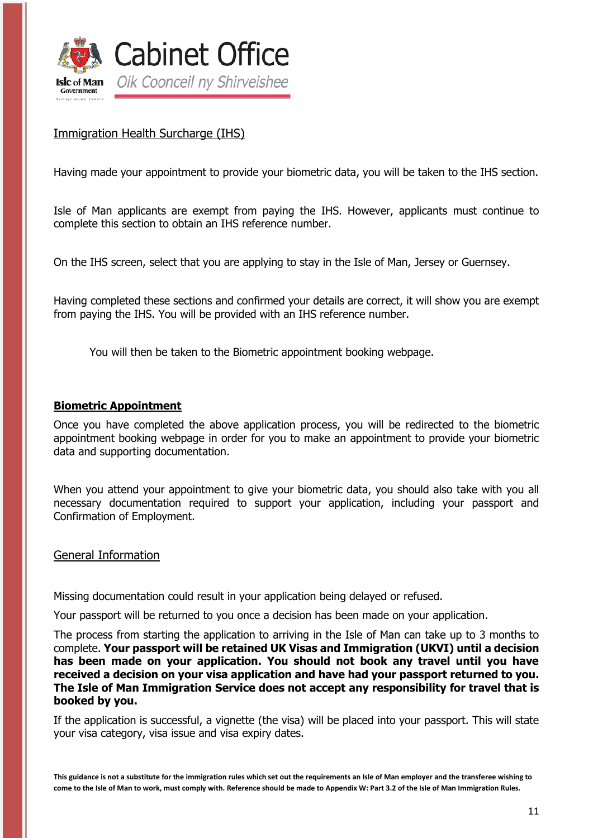

### <span id="page-10-0"></span>Immigration Health Surcharge (IHS)

Having made your appointment to provide your biometric data, you will be taken to the IHS section.

Isle of Man applicants are exempt from paying the IHS. However, applicants must continue to complete this section to obtain an IHS reference number.

On the IHS screen, select that you are applying to stay in the Isle of Man, Jersey or Guernsey.

Having completed these sections and confirmed your details are correct, it will show you are exempt from paying the IHS. You will be provided with an IHS reference number.

You will then be taken to the Biometric appointment booking webpage.

#### **Biometric Appointment**

Once you have completed the above application process, you will be redirected to the biometric appointment booking webpage in order for you to make an appointment to provide your biometric data and supporting documentation.

When you attend your appointment to give your biometric data, you should also take with you all necessary documentation required to support your application, including your passport and Confirmation of Employment.

<span id="page-10-1"></span>General Information

Missing documentation could result in your application being delayed or refused.

Your passport will be returned to you once a decision has been made on your application.

The process from starting the application to arriving in the Isle of Man can take up to 3 months to complete. **Your passport will be retained UK Visas and Immigration (UKVI) until a decision has been made on your application. You should not book any travel until you have received a decision on your visa application and have had your passport returned to you. The Isle of Man Immigration Service does not accept any responsibility for travel that is booked by you.**

If the application is successful, a vignette (the visa) will be placed into your passport. This will state your visa category, visa issue and visa expiry dates.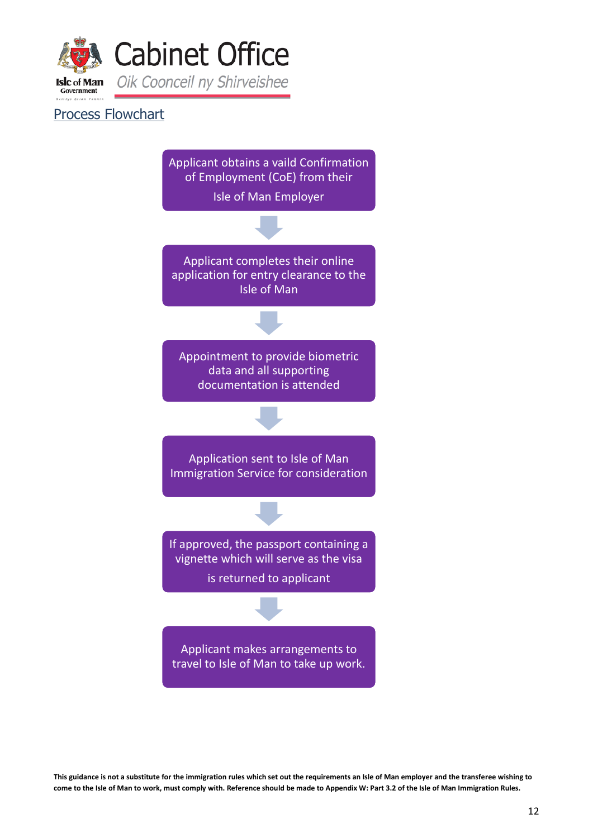

### <span id="page-11-0"></span>Process Flowchart

Applicant obtains a vaild Confirmation of Employment (CoE) from their

Isle of Man Employer

Applicant completes their online application for entry clearance to the Isle of Man

Appointment to provide biometric data and all supporting documentation is attended

Application sent to Isle of Man Immigration Service for consideration

If approved, the passport containing a vignette which will serve as the visa

is returned to applicant

Applicant makes arrangements to travel to Isle of Man to take up work.